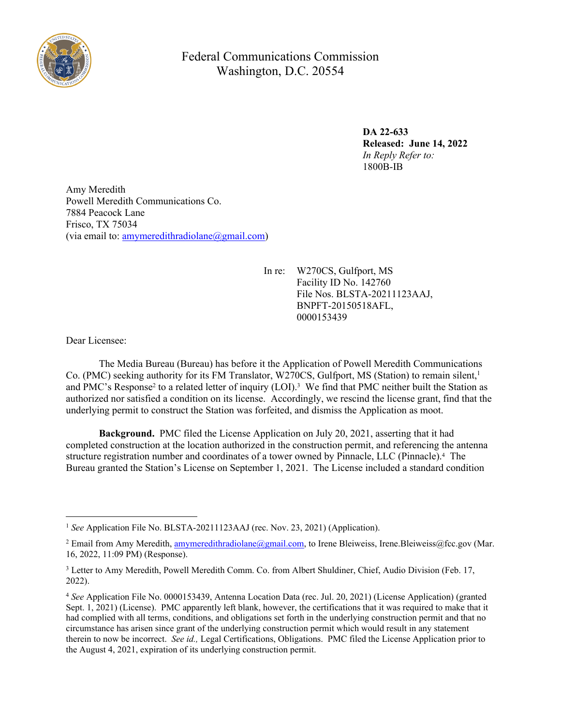

Federal Communications Commission Washington, D.C. 20554

> **DA 22-633 Released: June 14, 2022** *In Reply Refer to:* 1800B-IB

Amy Meredith Powell Meredith Communications Co. 7884 Peacock Lane Frisco, TX 75034 (via email to: amymeredithradiolane $(\partial g$ mail.com)

> In re: W270CS, Gulfport, MS Facility ID No. 142760 File Nos. BLSTA-20211123AAJ, [BNPFT-20150518AFL,](https://apps2int.fcc.gov/admin/secure/applicationDetails.html?id=245fbb0d805845f4b262c1b6063ebeb7) 0000153439

Dear Licensee:

The Media Bureau (Bureau) has before it the Application of Powell Meredith Communications Co. (PMC) seeking authority for its FM Translator, W270CS, Gulfport, MS (Station) to remain silent,<sup>1</sup> and PMC's Response<sup>2</sup> to a related letter of inquiry (LOI).<sup>3</sup> We find that PMC neither built the Station as authorized nor satisfied a condition on its license. Accordingly, we rescind the license grant, find that the underlying permit to construct the Station was forfeited, and dismiss the Application as moot.

**Background.** PMC filed the License Application on July 20, 2021, asserting that it had completed construction at the location authorized in the construction permit, and referencing the antenna structure registration number and coordinates of a tower owned by Pinnacle, LLC (Pinnacle).<sup>4</sup> The Bureau granted the Station's License on September 1, 2021. The License included a standard condition

<sup>1</sup> *See* Application File No. BLSTA-20211123AAJ (rec. Nov. 23, 2021) (Application).

<sup>&</sup>lt;sup>2</sup> Email from Amy Meredith, [amymeredithradiolane@gmail.com,](mailto:amymeredithradiolane@gmail.com) to Irene Bleiweiss, Irene.Bleiweiss@fcc.gov (Mar. 16, 2022, 11:09 PM) (Response).

<sup>&</sup>lt;sup>3</sup> Letter to Amy Meredith, Powell Meredith Comm. Co. from Albert Shuldiner, Chief, Audio Division (Feb. 17, 2022).

<sup>4</sup> *See* Application File No. 0000153439, Antenna Location Data (rec. Jul. 20, 2021) (License Application) (granted Sept. 1, 2021) (License). PMC apparently left blank, however, the certifications that it was required to make that it had complied with all terms, conditions, and obligations set forth in the underlying construction permit and that no circumstance has arisen since grant of the underlying construction permit which would result in any statement therein to now be incorrect. *See id.,* Legal Certifications, Obligations. PMC filed the License Application prior to the August 4, 2021, expiration of its underlying construction permit.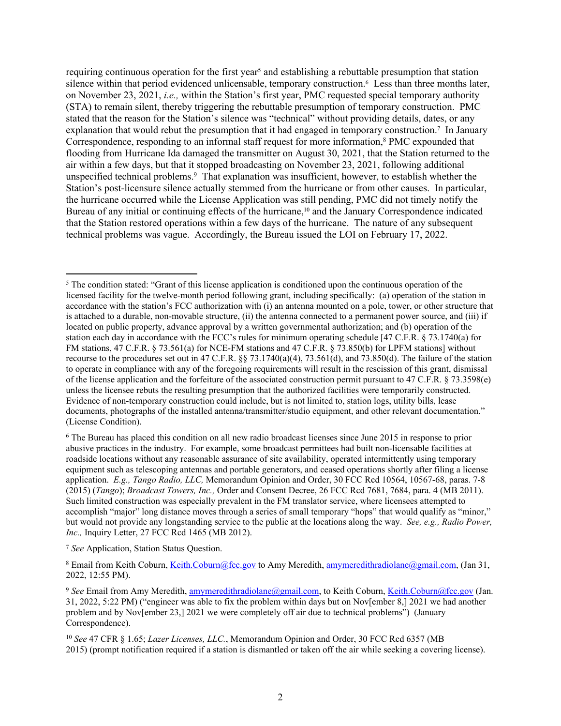requiring continuous operation for the first year<sup>5</sup> and establishing a rebuttable presumption that station silence within that period evidenced unlicensable, temporary construction.<sup>6</sup> Less than three months later, on November 23, 2021, *i.e.,* within the Station's first year, PMC requested special temporary authority (STA) to remain silent, thereby triggering the rebuttable presumption of temporary construction. PMC stated that the reason for the Station's silence was "technical" without providing details, dates, or any explanation that would rebut the presumption that it had engaged in temporary construction.<sup>7</sup> In January Correspondence, responding to an informal staff request for more information,<sup>8</sup> PMC expounded that flooding from Hurricane Ida damaged the transmitter on August 30, 2021, that the Station returned to the air within a few days, but that it stopped broadcasting on November 23, 2021, following additional unspecified technical problems.<sup>9</sup> That explanation was insufficient, however, to establish whether the Station's post-licensure silence actually stemmed from the hurricane or from other causes. In particular, the hurricane occurred while the License Application was still pending, PMC did not timely notify the Bureau of any initial or continuing effects of the hurricane,<sup>10</sup> and the January Correspondence indicated that the Station restored operations within a few days of the hurricane. The nature of any subsequent technical problems was vague. Accordingly, the Bureau issued the LOI on February 17, 2022.

<sup>&</sup>lt;sup>5</sup> The condition stated: "Grant of this license application is conditioned upon the continuous operation of the licensed facility for the twelve-month period following grant, including specifically: (a) operation of the station in accordance with the station's FCC authorization with (i) an antenna mounted on a pole, tower, or other structure that is attached to a durable, non-movable structure, (ii) the antenna connected to a permanent power source, and (iii) if located on public property, advance approval by a written governmental authorization; and (b) operation of the station each day in accordance with the FCC's rules for minimum operating schedule [47 C.F.R. § 73.1740(a) for FM stations, 47 C.F.R. § 73.561(a) for NCE-FM stations and 47 C.F.R. § 73.850(b) for LPFM stations] without recourse to the procedures set out in 47 C.F.R. §§ 73.1740(a)(4), 73.561(d), and 73.850(d). The failure of the station to operate in compliance with any of the foregoing requirements will result in the rescission of this grant, dismissal of the license application and the forfeiture of the associated construction permit pursuant to 47 C.F.R. § 73.3598(e) unless the licensee rebuts the resulting presumption that the authorized facilities were temporarily constructed. Evidence of non-temporary construction could include, but is not limited to, station logs, utility bills, lease documents, photographs of the installed antenna/transmitter/studio equipment, and other relevant documentation." (License Condition).

<sup>6</sup> The Bureau has placed this condition on all new radio broadcast licenses since June 2015 in response to prior abusive practices in the industry. For example, some broadcast permittees had built non-licensable facilities at roadside locations without any reasonable assurance of site availability, operated intermittently using temporary equipment such as telescoping antennas and portable generators, and ceased operations shortly after filing a license application. *E.g., Tango Radio, LLC,* Memorandum Opinion and Order, 30 FCC Rcd 10564, 10567-68, paras. 7-8 (2015) (*Tango*); *Broadcast Towers, Inc.,* Order and Consent Decree, 26 FCC Rcd 7681, 7684, para. 4 (MB 2011). Such limited construction was especially prevalent in the FM translator service, where licensees attempted to accomplish "major" long distance moves through a series of small temporary "hops" that would qualify as "minor," but would not provide any longstanding service to the public at the locations along the way. *See, e.g., Radio Power, Inc.*, Inquiry Letter, 27 FCC Rcd 1465 (MB 2012).

<sup>7</sup> *See* Application, Station Status Question.

<sup>&</sup>lt;sup>8</sup> Email from Keith Coburn, [Keith.Coburn@fcc.gov](mailto:Keith.Coburn@fcc.gov) to Amy Meredith, [amymeredithradiolane@gmail.com](mailto:amymeredithradiolane@gmail.com), (Jan 31, 2022, 12:55 PM).

<sup>&</sup>lt;sup>9</sup> See Email from Amy Meredith, [amymeredithradiolane@gmail.com](mailto:amymeredithradiolane@gmail.com), to Keith Coburn, [Keith.Coburn@fcc.gov](mailto:Keith.Coburn@fcc.gov) (Jan. 31, 2022, 5:22 PM) ("engineer was able to fix the problem within days but on Nov[ember 8,] 2021 we had another problem and by Nov[ember 23,] 2021 we were completely off air due to technical problems") (January Correspondence).

<sup>10</sup> *See* 47 CFR § 1.65; *Lazer Licenses, LLC.*[, Memorandum Opinion and Order, 30 FCC Rcd 6357 \(MB](https://1.next.westlaw.com/Link/Document/FullText?findType=Y&serNum=2036500987&pubNum=0004493&originatingDoc=I48ed24a862ae11e590d4edf60ce7d742&refType=CA&originationContext=document&transitionType=DocumentItem&ppcid=8719fba8618b41d1bf1780e4ec688c3e&contextData=(sc.Search))  [2015\)](https://1.next.westlaw.com/Link/Document/FullText?findType=Y&serNum=2036500987&pubNum=0004493&originatingDoc=I48ed24a862ae11e590d4edf60ce7d742&refType=CA&originationContext=document&transitionType=DocumentItem&ppcid=8719fba8618b41d1bf1780e4ec688c3e&contextData=(sc.Search)) (prompt notification required if a station is dismantled or taken off the air while seeking a covering license).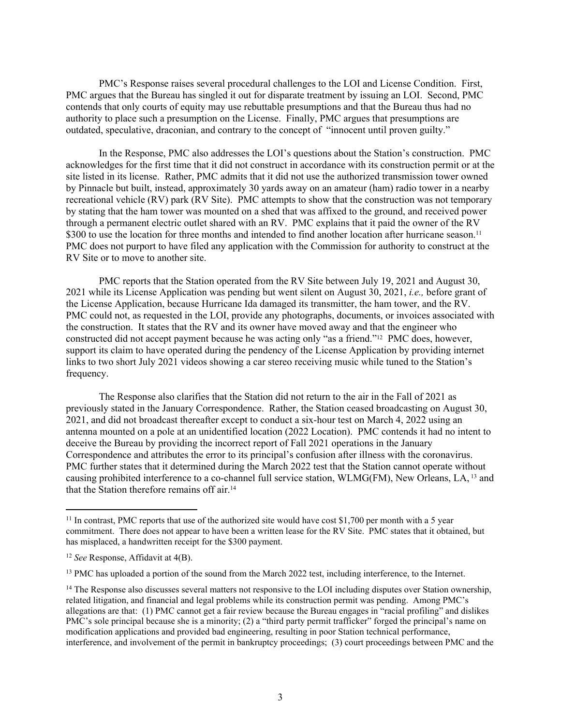PMC's Response raises several procedural challenges to the LOI and License Condition. First, PMC argues that the Bureau has singled it out for disparate treatment by issuing an LOI. Second, PMC contends that only courts of equity may use rebuttable presumptions and that the Bureau thus had no authority to place such a presumption on the License. Finally, PMC argues that presumptions are outdated, speculative, draconian, and contrary to the concept of "innocent until proven guilty."

In the Response, PMC also addresses the LOI's questions about the Station's construction. PMC acknowledges for the first time that it did not construct in accordance with its construction permit or at the site listed in its license. Rather, PMC admits that it did not use the authorized transmission tower owned by Pinnacle but built, instead, approximately 30 yards away on an amateur (ham) radio tower in a nearby recreational vehicle (RV) park (RV Site). PMC attempts to show that the construction was not temporary by stating that the ham tower was mounted on a shed that was affixed to the ground, and received power through a permanent electric outlet shared with an RV. PMC explains that it paid the owner of the RV \$300 to use the location for three months and intended to find another location after hurricane season.<sup>11</sup> PMC does not purport to have filed any application with the Commission for authority to construct at the RV Site or to move to another site.

PMC reports that the Station operated from the RV Site between July 19, 2021 and August 30, 2021 while its License Application was pending but went silent on August 30, 2021, *i.e.,* before grant of the License Application, because Hurricane Ida damaged its transmitter, the ham tower, and the RV. PMC could not, as requested in the LOI, provide any photographs, documents, or invoices associated with the construction. It states that the RV and its owner have moved away and that the engineer who constructed did not accept payment because he was acting only "as a friend."12 PMC does, however, support its claim to have operated during the pendency of the License Application by providing internet links to two short July 2021 videos showing a car stereo receiving music while tuned to the Station's frequency.

 The Response also clarifies that the Station did not return to the air in the Fall of 2021 as previously stated in the January Correspondence. Rather, the Station ceased broadcasting on August 30, 2021, and did not broadcast thereafter except to conduct a six-hour test on March 4, 2022 using an antenna mounted on a pole at an unidentified location (2022 Location). PMC contends it had no intent to deceive the Bureau by providing the incorrect report of Fall 2021 operations in the January Correspondence and attributes the error to its principal's confusion after illness with the coronavirus. PMC further states that it determined during the March 2022 test that the Station cannot operate without causing prohibited interference to a co-channel full service station, WLMG(FM), New Orleans, LA, 13 and that the Station therefore remains off air.<sup>14</sup>

 $11$  In contrast. PMC reports that use of the authorized site would have cost \$1,700 per month with a 5 year commitment. There does not appear to have been a written lease for the RV Site. PMC states that it obtained, but has misplaced, a handwritten receipt for the \$300 payment.

<sup>12</sup> *See* Response, Affidavit at 4(B).

<sup>13</sup> PMC has uploaded a portion of the sound from the March 2022 test, including interference, to the Internet.

<sup>&</sup>lt;sup>14</sup> The Response also discusses several matters not responsive to the LOI including disputes over Station ownership, related litigation, and financial and legal problems while its construction permit was pending. Among PMC's allegations are that: (1) PMC cannot get a fair review because the Bureau engages in "racial profiling" and dislikes PMC's sole principal because she is a minority; (2) a "third party permit trafficker" forged the principal's name on modification applications and provided bad engineering, resulting in poor Station technical performance, interference, and involvement of the permit in bankruptcy proceedings; (3) court proceedings between PMC and the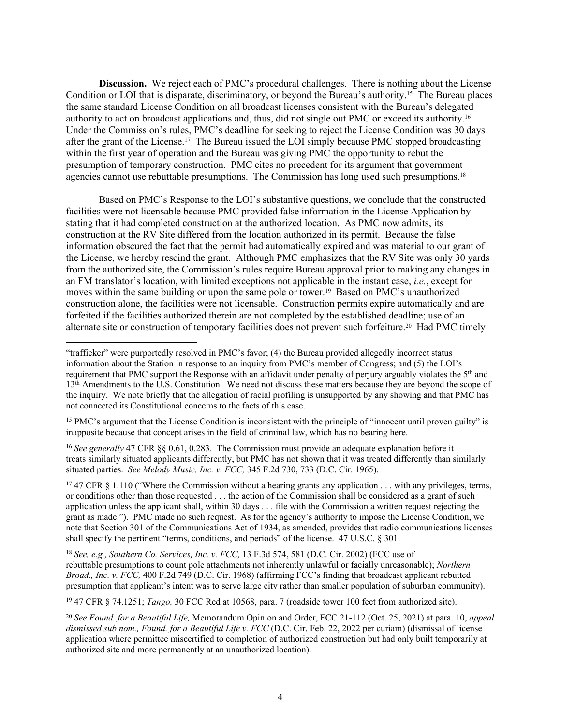**Discussion.** We reject each of PMC's procedural challenges. There is nothing about the License Condition or LOI that is disparate, discriminatory, or beyond the Bureau's authority.15 The Bureau places the same standard License Condition on all broadcast licenses consistent with the Bureau's delegated authority to act on broadcast applications and, thus, did not single out PMC or exceed its authority.<sup>16</sup> Under the Commission's rules, PMC's deadline for seeking to reject the License Condition was 30 days after the grant of the License.17 The Bureau issued the LOI simply because PMC stopped broadcasting within the first year of operation and the Bureau was giving PMC the opportunity to rebut the presumption of temporary construction. PMC cites no precedent for its argument that government agencies cannot use rebuttable presumptions. The Commission has long used such presumptions.<sup>18</sup>

Based on PMC's Response to the LOI's substantive questions, we conclude that the constructed facilities were not licensable because PMC provided false information in the License Application by stating that it had completed construction at the authorized location. As PMC now admits, its construction at the RV Site differed from the location authorized in its permit. Because the false information obscured the fact that the permit had automatically expired and was material to our grant of the License, we hereby rescind the grant. Although PMC emphasizes that the RV Site was only 30 yards from the authorized site, the Commission's rules require Bureau approval prior to making any changes in an FM translator's location, with limited exceptions not applicable in the instant case, *i.e.*, except for moves within the same building or upon the same pole or tower.19 Based on PMC's unauthorized construction alone, the facilities were not licensable. Construction permits expire automatically and are forfeited if the facilities authorized therein are not completed by the established deadline; use of an alternate site or construction of temporary facilities does not prevent such forfeiture.<sup>20</sup> Had PMC timely

<sup>15</sup> PMC's argument that the License Condition is inconsistent with the principle of "innocent until proven guilty" is inapposite because that concept arises in the field of criminal law, which has no bearing here.

<sup>16</sup> *See generally* 47 CFR §§ 0.61, 0.283. The Commission must provide an adequate explanation before it treats similarly situated applicants differently, but PMC has not shown that it was treated differently than similarly situated parties. *See Melody Music, Inc. v. FCC,* [345 F.2d 730, 733 \(D.C. Cir. 1965\)](https://1.next.westlaw.com/Link/Document/FullText?findType=Y&serNum=1965113568&pubNum=0000350&originatingDoc=Ie564e0f7970311d9bdd1cfdd544ca3a4&refType=RP&fi=co_pp_sp_350_733&originationContext=document&transitionType=DocumentItem&ppcid=77b1eac109124bed9fc34093c32ec974&contextData=(sc.Search)#co_pp_sp_350_733).

<sup>17</sup> 47 CFR § 1.110 ("Where the Commission without a hearing grants any application . . . with any privileges, terms, or conditions other than those requested . . . the action of the Commission shall be considered as a grant of such application unless the applicant shall, within 30 days . . . file with the Commission a written request rejecting the grant as made."). PMC made no such request. As for the agency's authority to impose the License Condition, we note that Section 301 of the Communications Act of 1934, as amended, provides that radio communications licenses shall specify the pertinent "terms, conditions, and periods" of the license. 47 U.S.C. § 301.

<sup>18</sup> *See, e.g., Southern Co. Services, Inc. v. FCC,* 13 F.3d 574, 581 (D.C. Cir. 2002) (FCC use of rebuttable presumptions to count pole attachments not inherently unlawful or facially unreasonable); *Northern Broad., Inc. v. FCC,* 400 F.2d 749 (D.C. Cir. 1968) (affirming FCC's finding that broadcast applicant rebutted presumption that applicant's intent was to serve large city rather than smaller population of suburban community).

<sup>19</sup> 47 CFR § 74.1251; *Tango,* 30 FCC Rcd at 10568, para. 7 (roadside tower 100 feet from authorized site).

<sup>20</sup> *See Found. for a Beautiful Life,* Memorandum Opinion and Order, FCC 21-112 (Oct. 25, 2021) at para. 10, *appeal dismissed sub nom., Found. for a Beautiful Life v. FCC* (D.C. Cir. Feb. 22, 2022 per curiam) (dismissal of license application where permittee miscertified to completion of authorized construction but had only built temporarily at authorized site and more permanently at an unauthorized location).

<sup>&</sup>quot;trafficker" were purportedly resolved in PMC's favor; (4) the Bureau provided allegedly incorrect status information about the Station in response to an inquiry from PMC's member of Congress; and (5) the LOI's requirement that PMC support the Response with an affidavit under penalty of perjury arguably violates the 5<sup>th</sup> and 13th Amendments to the U.S. Constitution. We need not discuss these matters because they are beyond the scope of the inquiry. We note briefly that the allegation of racial profiling is unsupported by any showing and that PMC has not connected its Constitutional concerns to the facts of this case.